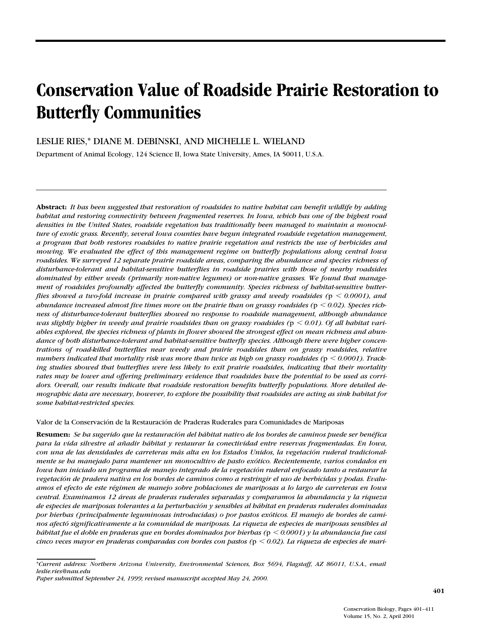# **Conservation Value of Roadside Prairie Restoration to Butterfly Communities**

# LESLIE RIES,\* DIANE M. DEBINSKI, AND MICHELLE L. WIELAND

Department of Animal Ecology, 124 Science II, Iowa State University, Ames, IA 50011, U.S.A.

**Abstract:** *It has been suggested that restoration of roadsides to native habitat can benefit wildlife by adding habitat and restoring connectivity between fragmented reserves. In Iowa, which has one of the highest road densities in the United States, roadside vegetation has traditionally been managed to maintain a monoculture of exotic grass. Recently, several Iowa counties have begun integrated roadside vegetation management, a program that both restores roadsides to native prairie vegetation and restricts the use of herbicides and mowing. We evaluated the effect of this management regime on butterfly populations along central Iowa roadsides. We surveyed 12 separate prairie roadside areas, comparing the abundance and species richness of disturbance-tolerant and habitat-sensitive butterflies in roadside prairies with those of nearby roadsides dominated by either weeds (primarily non-native legumes) or non-native grasses. We found that management of roadsides profoundly affected the butterfly community. Species richness of habitat-sensitive butterflies showed a two-fold increase in prairie compared with grassy and weedy roadsides (p < 0.0001), and abundance increased almost five times more on the prairie than on grassy roadsides (* $p < 0.02$ *). Species richness of disturbance-tolerant butterflies showed no response to roadside management, although abundance was slightly higher in weedy and prairie roadsides than on grassy roadsides (* $p < 0.01$ *). Of all habitat variables explored, the species richness of plants in flower showed the strongest effect on mean richness and abundance of both disturbance-tolerant and habitat-sensitive butterfly species. Although there were higher concentrations of road-killed butterflies near weedy and prairie roadsides than on grassy roadsides, relative numbers indicated that mortality risk was more than twice as high on grassy roadsides (* $p < 0.0001$ *). Tracking studies showed that butterflies were less likely to exit prairie roadsides, indicating that their mortality rates may be lower and offering preliminary evidence that roadsides have the potential to be used as corridors. Overall, our results indicate that roadside restoration benefits butterfly populations. More detailed demographic data are necessary, however, to explore the possibility that roadsides are acting as sink habitat for some habitat-restricted species.*

Valor de la Conservación de la Restauración de Praderas Ruderales para Comunidades de Mariposas

**Resumen:** *Se ha sugerido que la restauración del hábitat nativo de los bordes de caminos puede ser benéfica para la vida silvestre al añadir hábitat y restaurar la conectividad entre reservas fragmentadas. En Iowa, con una de las densidades de carreteras más alta en los Estados Unidos, la vegetación ruderal tradicionalmente se ha manejado para mantener un monocultivo de pasto exótico. Recientemente, varios condados en Iowa han iniciado un programa de manejo integrado de la vegetación ruderal enfocado tanto a restaurar la vegetación de pradera nativa en los bordes de caminos como a restringir el uso de herbicidas y podas. Evaluamos el efecto de este régimen de manejo sobre poblaciones de mariposas a lo largo de carreteras en Iowa central. Examinamos 12 áreas de praderas ruderales separadas y comparamos la abundancia y la riqueza de especies de mariposas tolerantes a la perturbación y sensibles al hábitat en praderas ruderales dominadas por hierbas (principalmente leguminosas introducidas) o por pastos exóticos. El manejo de bordes de caminos afectó significativamente a la comunidad de mariposas. La riqueza de especies de mariposas sensibles al hábitat fue el doble en praderas que en bordes dominados por hierbas (*p , *0.0001) y la abundancia fue casi cinco veces mayor en praderas comparadas con bordes con pastos (p < 0.02). La riqueza de especies de mari-*

<sup>\*</sup>*Current address: Northern Arizona University, Environmental Sciences, Box 5694, Flagstaff, AZ 86011, U.S.A., email leslie.ries@nau.edu*

*Paper submitted September 24, 1999; revised manuscript accepted May 24, 2000.*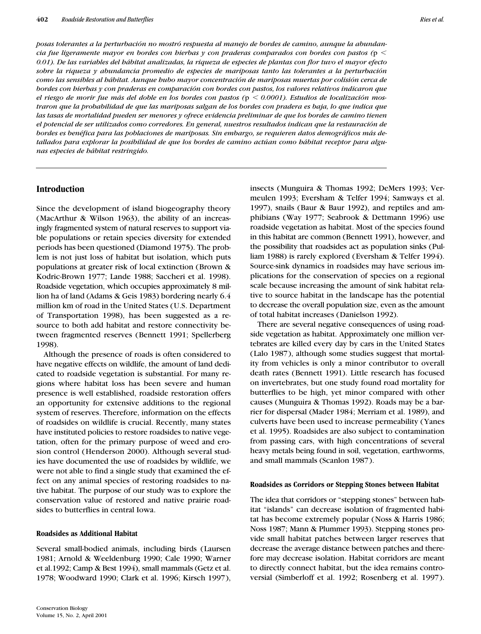*posas tolerantes a la perturbación no mostró respuesta al manejo de bordes de camino, aunque la abundancia fue ligeramente mayor en bordes con bierbas y con praderas comparados con bordes con pastos (p <*  $\alpha$ *) 0.01). De las variables del hábitat analizadas, la riqueza de especies de plantas con flor tuvo el mayor efecto sobre la riqueza y abundancia promedio de especies de mariposas tanto las tolerantes a la perturbación como las sensibles al hábitat. Aunque hubo mayor concentración de mariposas muertas por colisión cerca de bordes con hierbas y con praderas en comparación con bordes con pastos, los valores relativos indicaron que el riesgo de morir fue más del doble en los bordes con pastos (*p , *0.0001). Estudios de localización mostraron que la probabilidad de que las mariposas salgan de los bordes con pradera es baja, lo que indica que las tasas de mortalidad pueden ser menores y ofrece evidencia preliminar de que los bordes de camino tienen el potencial de ser utilizados como corredores. En general, nuestros resultados indican que la restauración de bordes es benéfica para las poblaciones de mariposas. Sin embargo, se requieren datos demográficos más detallados para explorar la posibilidad de que los bordes de camino actúan como hábitat receptor para algunas especies de hábitat restringido.*

# **Introduction**

Since the development of island biogeography theory (MacArthur & Wilson 1963), the ability of an increasingly fragmented system of natural reserves to support viable populations or retain species diversity for extended periods has been questioned (Diamond 1975). The problem is not just loss of habitat but isolation, which puts populations at greater risk of local extinction (Brown & Kodric-Brown 1977; Lande 1988; Saccheri et al. 1998). Roadside vegetation, which occupies approximately 8 million ha of land (Adams & Geis 1983) bordering nearly 6.4 million km of road in the United States (U.S. Department of Transportation 1998), has been suggested as a resource to both add habitat and restore connectivity between fragmented reserves (Bennett 1991; Spellerberg 1998).

Although the presence of roads is often considered to have negative effects on wildlife, the amount of land dedicated to roadside vegetation is substantial. For many regions where habitat loss has been severe and human presence is well established, roadside restoration offers an opportunity for extensive additions to the regional system of reserves. Therefore, information on the effects of roadsides on wildlife is crucial. Recently, many states have instituted policies to restore roadsides to native vegetation, often for the primary purpose of weed and erosion control (Henderson 2000). Although several studies have documented the use of roadsides by wildlife, we were not able to find a single study that examined the effect on any animal species of restoring roadsides to native habitat. The purpose of our study was to explore the conservation value of restored and native prairie roadsides to butterflies in central Iowa.

## **Roadsides as Additional Habitat**

Several small-bodied animals, including birds (Laursen 1981; Arnold & Weeldenburg 1990; Cale 1990; Warner et al.1992; Camp & Best 1994), small mammals (Getz et al. 1978; Woodward 1990; Clark et al. 1996; Kirsch 1997),

insects (Munguira & Thomas 1992; DeMers 1993; Vermeulen 1993; Eversham & Telfer 1994; Samways et al. 1997), snails (Baur & Baur 1992), and reptiles and amphibians (Way 1977; Seabrook & Dettmann 1996) use roadside vegetation as habitat. Most of the species found in this habitat are common (Bennett 1991), however, and the possibility that roadsides act as population sinks (Pulliam 1988) is rarely explored (Eversham & Telfer 1994). Source-sink dynamics in roadsides may have serious implications for the conservation of species on a regional scale because increasing the amount of sink habitat relative to source habitat in the landscape has the potential to decrease the overall population size, even as the amount of total habitat increases (Danielson 1992).

There are several negative consequences of using roadside vegetation as habitat. Approximately one million vertebrates are killed every day by cars in the United States (Lalo 1987), although some studies suggest that mortality from vehicles is only a minor contributor to overall death rates (Bennett 1991). Little research has focused on invertebrates, but one study found road mortality for butterflies to be high, yet minor compared with other causes (Munguira & Thomas 1992). Roads may be a barrier for dispersal (Mader 1984; Merriam et al. 1989), and culverts have been used to increase permeability (Yanes et al. 1995). Roadsides are also subject to contamination from passing cars, with high concentrations of several heavy metals being found in soil, vegetation, earthworms, and small mammals (Scanlon 1987).

#### **Roadsides as Corridors or Stepping Stones between Habitat**

The idea that corridors or "stepping stones" between habitat "islands" can decrease isolation of fragmented habitat has become extremely popular (Noss & Harris 1986; Noss 1987; Mann & Plummer 1993). Stepping stones provide small habitat patches between larger reserves that decrease the average distance between patches and therefore may decrease isolation. Habitat corridors are meant to directly connect habitat, but the idea remains controversial (Simberloff et al. 1992; Rosenberg et al. 1997).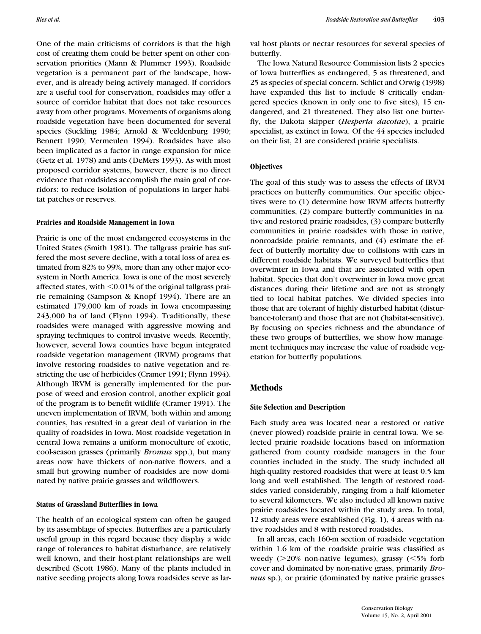One of the main criticisms of corridors is that the high cost of creating them could be better spent on other conservation priorities (Mann & Plummer 1993). Roadside vegetation is a permanent part of the landscape, however, and is already being actively managed. If corridors are a useful tool for conservation, roadsides may offer a source of corridor habitat that does not take resources away from other programs. Movements of organisms along roadside vegetation have been documented for several species (Suckling 1984; Arnold & Weeldenburg 1990; Bennett 1990; Vermeulen 1994). Roadsides have also been implicated as a factor in range expansion for mice (Getz et al. 1978) and ants (DeMers 1993). As with most proposed corridor systems, however, there is no direct evidence that roadsides accomplish the main goal of corridors: to reduce isolation of populations in larger habitat patches or reserves.

## **Prairies and Roadside Management in Iowa**

Prairie is one of the most endangered ecosystems in the United States (Smith 1981). The tallgrass prairie has suffered the most severe decline, with a total loss of area estimated from 82% to 99%, more than any other major ecosystem in North America. Iowa is one of the most severely affected states, with  $< 0.01\%$  of the original tallgrass prairie remaining (Sampson & Knopf 1994). There are an estimated 179,000 km of roads in Iowa encompassing 243,000 ha of land (Flynn 1994). Traditionally, these roadsides were managed with aggressive mowing and spraying techniques to control invasive weeds. Recently, however, several Iowa counties have begun integrated roadside vegetation management (IRVM) programs that involve restoring roadsides to native vegetation and restricting the use of herbicides (Cramer 1991; Flynn 1994). Although IRVM is generally implemented for the purpose of weed and erosion control, another explicit goal of the program is to benefit wildlife (Cramer 1991). The uneven implementation of IRVM, both within and among counties, has resulted in a great deal of variation in the quality of roadsides in Iowa. Most roadside vegetation in central Iowa remains a uniform monoculture of exotic, cool-season grasses (primarily *Bromus* spp.), but many areas now have thickets of non-native flowers, and a small but growing number of roadsides are now dominated by native prairie grasses and wildflowers.

## **Status of Grassland Butterflies in Iowa**

The health of an ecological system can often be gauged by its assemblage of species. Butterflies are a particularly useful group in this regard because they display a wide range of tolerances to habitat disturbance, are relatively well known, and their host-plant relationships are well described (Scott 1986). Many of the plants included in native seeding projects along Iowa roadsides serve as larval host plants or nectar resources for several species of butterfly.

The Iowa Natural Resource Commission lists 2 species of Iowa butterflies as endangered, 5 as threatened, and 25 as species of special concern. Schlict and Orwig (1998) have expanded this list to include 8 critically endangered species (known in only one to five sites), 15 endangered, and 21 threatened. They also list one butterfly, the Dakota skipper (*Hesperia dacotae*), a prairie specialist, as extinct in Iowa. Of the 44 species included on their list, 21 are considered prairie specialists.

## **Objectives**

The goal of this study was to assess the effects of IRVM practices on butterfly communities. Our specific objectives were to (1) determine how IRVM affects butterfly communities, (2) compare butterfly communities in native and restored prairie roadsides, (3) compare butterfly communities in prairie roadsides with those in native, nonroadside prairie remnants, and (4) estimate the effect of butterfly mortality due to collisions with cars in different roadside habitats. We surveyed butterflies that overwinter in Iowa and that are associated with open habitat. Species that don't overwinter in Iowa move great distances during their lifetime and are not as strongly tied to local habitat patches. We divided species into those that are tolerant of highly disturbed habitat (disturbance-tolerant) and those that are not (habitat-sensitive). By focusing on species richness and the abundance of these two groups of butterflies, we show how management techniques may increase the value of roadside vegetation for butterfly populations.

# **Methods**

## **Site Selection and Description**

Each study area was located near a restored or native (never plowed) roadside prairie in central Iowa. We selected prairie roadside locations based on information gathered from county roadside managers in the four counties included in the study. The study included all high-quality restored roadsides that were at least 0.5 km long and well established. The length of restored roadsides varied considerably, ranging from a half kilometer to several kilometers. We also included all known native prairie roadsides located within the study area. In total, 12 study areas were established (Fig. 1), 4 areas with native roadsides and 8 with restored roadsides.

In all areas, each 160-m section of roadside vegetation within 1.6 km of the roadside prairie was classified as weedy  $(>20\%$  non-native legumes), grassy  $(<5\%$  forb cover and dominated by non-native grass, primarily *Bromus* sp.), or prairie (dominated by native prairie grasses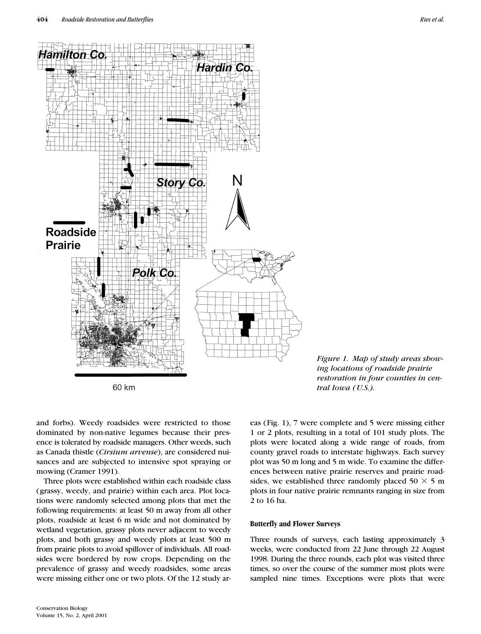

*Figure 1. Map of study areas showing locations of roadside prairie restoration in four counties in central Iowa (U.S.).*

and forbs). Weedy roadsides were restricted to those dominated by non-native legumes because their presence is tolerated by roadside managers. Other weeds, such as Canada thistle (*Cirsium arvense*), are considered nuisances and are subjected to intensive spot spraying or mowing (Cramer 1991).

Three plots were established within each roadside class (grassy, weedy, and prairie) within each area. Plot locations were randomly selected among plots that met the following requirements: at least 50 m away from all other plots, roadside at least 6 m wide and not dominated by wetland vegetation, grassy plots never adjacent to weedy plots, and both grassy and weedy plots at least 500 m from prairie plots to avoid spillover of individuals. All roadsides were bordered by row crops. Depending on the prevalence of grassy and weedy roadsides, some areas were missing either one or two plots. Of the 12 study areas (Fig. 1), 7 were complete and 5 were missing either 1 or 2 plots, resulting in a total of 101 study plots. The plots were located along a wide range of roads, from county gravel roads to interstate highways. Each survey plot was 50 m long and 5 m wide. To examine the differences between native prairie reserves and prairie roadsides, we established three randomly placed 50  $\times$  5 m plots in four native prairie remnants ranging in size from 2 to 16 ha.

## **Butterfly and Flower Surveys**

Three rounds of surveys, each lasting approximately 3 weeks, were conducted from 22 June through 22 August 1998. During the three rounds, each plot was visited three times, so over the course of the summer most plots were sampled nine times. Exceptions were plots that were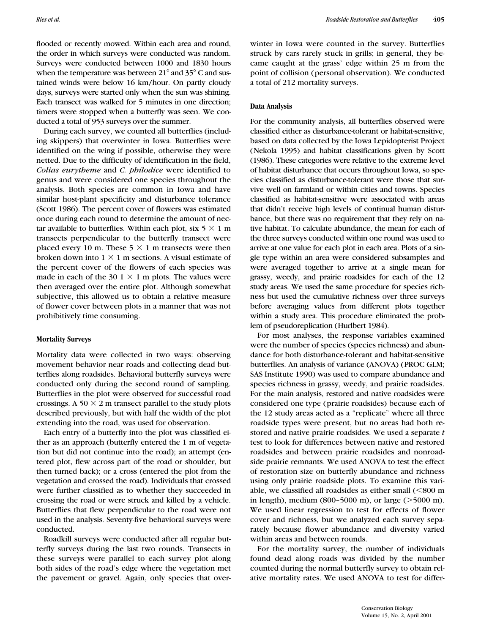flooded or recently mowed. Within each area and round, the order in which surveys were conducted was random. Surveys were conducted between 1000 and 1830 hours when the temperature was between  $21^{\circ}$  and  $35^{\circ}$  C and sustained winds were below 16 km/hour. On partly cloudy days, surveys were started only when the sun was shining. Each transect was walked for 5 minutes in one direction; timers were stopped when a butterfly was seen. We conducted a total of 953 surveys over the summer.

During each survey, we counted all butterflies (including skippers) that overwinter in Iowa. Butterflies were identified on the wing if possible, otherwise they were netted. Due to the difficulty of identification in the field, *Colias eurytheme* and *C. philodice* were identified to genus and were considered one species throughout the analysis. Both species are common in Iowa and have similar host-plant specificity and disturbance tolerance (Scott 1986). The percent cover of flowers was estimated once during each round to determine the amount of nectar available to butterflies. Within each plot, six  $5 \times 1$  m transects perpendicular to the butterfly transect were placed every 10 m. These  $5 \times 1$  m transects were then broken down into  $1 \times 1$  m sections. A visual estimate of the percent cover of the flowers of each species was made in each of the 30 1  $\times$  1 m plots. The values were then averaged over the entire plot. Although somewhat subjective, this allowed us to obtain a relative measure of flower cover between plots in a manner that was not prohibitively time consuming.

## **Mortality Surveys**

Mortality data were collected in two ways: observing movement behavior near roads and collecting dead butterflies along roadsides. Behavioral butterfly surveys were conducted only during the second round of sampling. Butterflies in the plot were observed for successful road crossings. A 50  $\times$  2 m transect parallel to the study plots described previously, but with half the width of the plot extending into the road, was used for observation.

Each entry of a butterfly into the plot was classified either as an approach (butterfly entered the 1 m of vegetation but did not continue into the road); an attempt (entered plot, flew across part of the road or shoulder, but then turned back); or a cross (entered the plot from the vegetation and crossed the road). Individuals that crossed were further classified as to whether they succeeded in crossing the road or were struck and killed by a vehicle. Butterflies that flew perpendicular to the road were not used in the analysis. Seventy-five behavioral surveys were conducted.

Roadkill surveys were conducted after all regular butterfly surveys during the last two rounds. Transects in these surveys were parallel to each survey plot along both sides of the road's edge where the vegetation met the pavement or gravel. Again, only species that overwinter in Iowa were counted in the survey. Butterflies struck by cars rarely stuck in grills; in general, they became caught at the grass' edge within 25 m from the point of collision (personal observation). We conducted a total of 212 mortality surveys.

## **Data Analysis**

For the community analysis, all butterflies observed were classified either as disturbance-tolerant or habitat-sensitive, based on data collected by the Iowa Lepidopterist Project (Nekola 1995) and habitat classifications given by Scott (1986). These categories were relative to the extreme level of habitat disturbance that occurs throughout Iowa, so species classified as disturbance-tolerant were those that survive well on farmland or within cities and towns. Species classified as habitat-sensitive were associated with areas that didn't receive high levels of continual human disturbance, but there was no requirement that they rely on native habitat. To calculate abundance, the mean for each of the three surveys conducted within one round was used to arrive at one value for each plot in each area. Plots of a single type within an area were considered subsamples and were averaged together to arrive at a single mean for grassy, weedy, and prairie roadsides for each of the 12 study areas. We used the same procedure for species richness but used the cumulative richness over three surveys before averaging values from different plots together within a study area. This procedure eliminated the problem of pseudoreplication (Hurlbert 1984).

For most analyses, the response variables examined were the number of species (species richness) and abundance for both disturbance-tolerant and habitat-sensitive butterflies. An analysis of variance (ANOVA) (PROC GLM; SAS Institute 1990) was used to compare abundance and species richness in grassy, weedy, and prairie roadsides. For the main analysis, restored and native roadsides were considered one type (prairie roadsides) because each of the 12 study areas acted as a "replicate" where all three roadside types were present, but no areas had both restored and native prairie roadsides. We used a separate *t* test to look for differences between native and restored roadsides and between prairie roadsides and nonroadside prairie remnants. We used ANOVA to test the effect of restoration size on butterfly abundance and richness using only prairie roadside plots. To examine this variable, we classified all roadsides as either small  $(< 800$  m in length), medium (800–5000 m), or large ( $>5000$  m). We used linear regression to test for effects of flower cover and richness, but we analyzed each survey separately because flower abundance and diversity varied within areas and between rounds.

For the mortality survey, the number of individuals found dead along roads was divided by the number counted during the normal butterfly survey to obtain relative mortality rates. We used ANOVA to test for differ-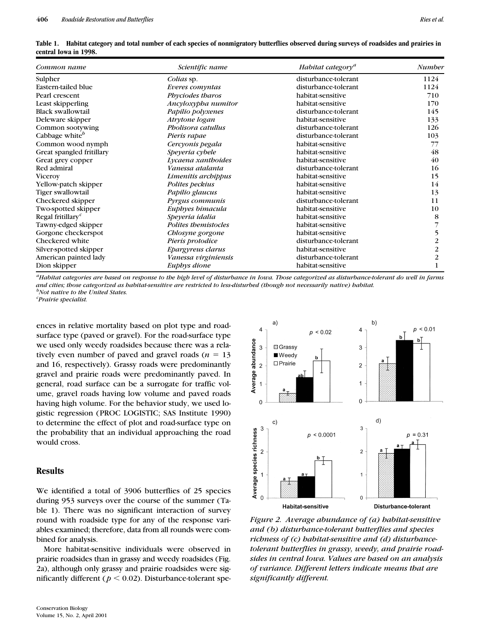| Table 1. Habitat category and total number of each species of nonmigratory butterflies observed during surveys of roadsides and prairies in |  |
|---------------------------------------------------------------------------------------------------------------------------------------------|--|
| central Iowa in 1998.                                                                                                                       |  |
|                                                                                                                                             |  |

| Common name                                | Scientific name      | Habitat category <sup><i>a</i></sup> | <b>Number</b><br>1124 |  |
|--------------------------------------------|----------------------|--------------------------------------|-----------------------|--|
| Sulpher                                    | Colias sp.           | disturbance-tolerant                 |                       |  |
| Eastern-tailed blue                        | Everes comyntas      | disturbance-tolerant                 | 1124                  |  |
| Pearl crescent                             | Phyciodes tharos     | habitat-sensitive                    | 710                   |  |
| Least skipperling                          | Ancyloxypha numitor  | habitat-sensitive                    | 170                   |  |
| <b>Black swallowtail</b>                   | Papilio polyxenes    | disturbance-tolerant                 | 145                   |  |
| Deleware skipper                           | Atrytone logan       | habitat-sensitive                    | 133                   |  |
| Common sootywing                           | Pholisora catullus   | disturbance-tolerant                 | 126                   |  |
| Cabbage white <sup>b</sup>                 | Pieris rapae         | disturbance-tolerant                 | 103                   |  |
| Common wood nymph                          | Cercyonis pegala     | habitat-sensitive                    | 77                    |  |
| Great spangled fritillary                  | Speyeria cybele      | habitat-sensitive                    | 48                    |  |
| Great grey copper                          | Lycaena xanthoides   | habitat-sensitive                    | 40                    |  |
| Red admiral                                | Vanessa atalanta     | disturbance-tolerant                 | 16                    |  |
| Viceroy                                    | Limenitis archippus  | habitat-sensitive                    | 15                    |  |
| Yellow-patch skipper                       | Polites peckius      | habitat-sensitive                    | 14                    |  |
| Tiger swallowtail                          | Papilio glaucus      | habitat-sensitive                    | 13                    |  |
| Checkered skipper                          | Pyrgus communis      | disturbance-tolerant                 | 11                    |  |
| Two-spotted skipper                        | Euphyes bimacula     | habitat-sensitive                    | 10                    |  |
| Regal fritillary <sup><math>c</math></sup> | Speyeria idalia      | habitat-sensitive                    | 8                     |  |
| Tawny-edged skipper                        | Polites themistocles | habitat-sensitive                    |                       |  |
| Gorgone checkerspot                        | Chlosyne gorgone     | habitat-sensitive                    | 5                     |  |
| Checkered white                            | Pieris protodice     | disturbance-tolerant                 | 2                     |  |
| Silver-spotted skipper                     | Epargyreus clarus    | habitat-sensitive                    | 2                     |  |
| American painted lady                      | Vanessa virginiensis | disturbance-tolerant                 | 2                     |  |
| Dion skipper                               | Euphys dione         | habitat-sensitive                    |                       |  |

*aHabitat categories are based on response to the high level of disturbance in Iowa. Those categorized as disturbance-tolerant do well in farms and cities; those categorized as habitat-sensitive are restricted to less-disturbed (though not necessarily native) habitat. b Not native to the United States.*

*c Prairie specialist.*

ences in relative mortality based on plot type and roadsurface type (paved or gravel). For the road-surface type we used only weedy roadsides because there was a relatively even number of paved and gravel roads  $(n = 13$ and 16, respectively). Grassy roads were predominantly gravel and prairie roads were predominantly paved. In general, road surface can be a surrogate for traffic volume, gravel roads having low volume and paved roads having high volume. For the behavior study, we used logistic regression (PROC LOGISTIC; SAS Institute 1990) to determine the effect of plot and road-surface type on the probability that an individual approaching the road would cross.

## **Results**

We identified a total of 3906 butterflies of 25 species during 953 surveys over the course of the summer (Table 1). There was no significant interaction of survey round with roadside type for any of the response variables examined; therefore, data from all rounds were combined for analysis.

More habitat-sensitive individuals were observed in prairie roadsides than in grassy and weedy roadsides (Fig. 2a), although only grassy and prairie roadsides were significantly different ( $p < 0.02$ ). Disturbance-tolerant spe-





*Figure 2. Average abundance of (a) habitat-sensitive and (b) disturbance-tolerant butterflies and species richness of (c) habitat-sensitive and (d) disturbancetolerant butterflies in grassy, weedy, and prairie roadsides in central Iowa. Values are based on an analysis of variance. Different letters indicate means that are significantly different.*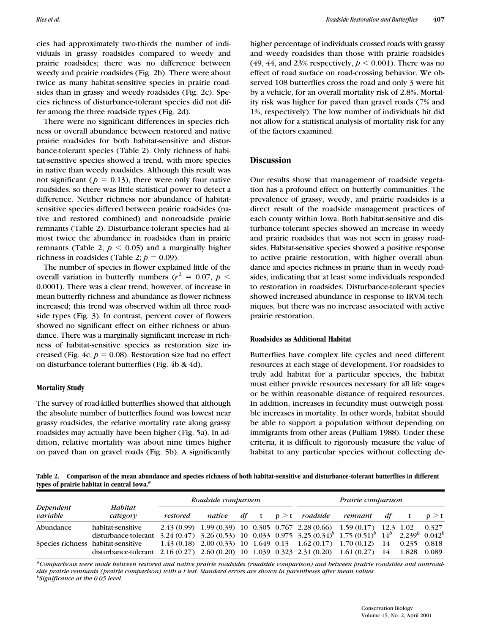cies had approximately two-thirds the number of individuals in grassy roadsides compared to weedy and prairie roadsides; there was no difference between weedy and prairie roadsides (Fig. 2b). There were about twice as many habitat-sensitive species in prairie roadsides than in grassy and weedy roadsides (Fig. 2c). Species richness of disturbance-tolerant species did not differ among the three roadside types (Fig. 2d).

There were no significant differences in species richness or overall abundance between restored and native prairie roadsides for both habitat-sensitive and disturbance-tolerant species (Table 2). Only richness of habitat-sensitive species showed a trend, with more species in native than weedy roadsides. Although this result was not significant ( $p = 0.13$ ), there were only four native roadsides, so there was little statistical power to detect a difference. Neither richness nor abundance of habitatsensitive species differed between prairie roadsides (native and restored combined) and nonroadside prairie remnants (Table 2). Disturbance-tolerant species had almost twice the abundance in roadsides than in prairie remnants (Table 2;  $p < 0.05$ ) and a marginally higher richness in roadsides (Table 2;  $p = 0.09$ ).

The number of species in flower explained little of the overall variation in butterfly numbers ( $r^2 = 0.07$ ,  $p <$ 0.0001). There was a clear trend, however, of increase in mean butterfly richness and abundance as flower richness increased; this trend was observed within all three roadside types (Fig. 3). In contrast, percent cover of flowers showed no significant effect on either richness or abundance. There was a marginally significant increase in richness of habitat-sensitive species as restoration size increased (Fig.  $4c$ ,  $p = 0.08$ ). Restoration size had no effect on disturbance-tolerant butterflies (Fig. 4b & 4d).

#### **Mortality Study**

The survey of road-killed butterflies showed that although the absolute number of butterflies found was lowest near grassy roadsides, the relative mortality rate along grassy roadsides may actually have been higher (Fig. 5a). In addition, relative mortality was about nine times higher on paved than on gravel roads (Fig. 5b). A significantly

higher percentage of individuals crossed roads with grassy and weedy roadsides than those with prairie roadsides (49, 44, and 23% respectively,  $p < 0.001$ ). There was no effect of road surface on road-crossing behavior. We observed 108 butterflies cross the road and only 3 were hit by a vehicle, for an overall mortality risk of 2.8%. Mortality risk was higher for paved than gravel roads (7% and 1%, respectively). The low number of individuals hit did not allow for a statistical analysis of mortality risk for any of the factors examined.

# **Discussion**

Our results show that management of roadside vegetation has a profound effect on butterfly communities. The prevalence of grassy, weedy, and prairie roadsides is a direct result of the roadside management practices of each county within Iowa. Both habitat-sensitive and disturbance-tolerant species showed an increase in weedy and prairie roadsides that was not seen in grassy roadsides. Habitat-sensitive species showed a positive response to active prairie restoration, with higher overall abundance and species richness in prairie than in weedy roadsides, indicating that at least some individuals responded to restoration in roadsides. Disturbance-tolerant species showed increased abundance in response to IRVM techniques, but there was no increase associated with active prairie restoration.

#### **Roadsides as Additional Habitat**

Butterflies have complex life cycles and need different resources at each stage of development. For roadsides to truly add habitat for a particular species, the habitat must either provide resources necessary for all life stages or be within reasonable distance of required resources. In addition, increases in fecundity must outweigh possible increases in mortality. In other words, habitat should be able to support a population without depending on immigrants from other areas (Pulliam 1988). Under these criteria, it is difficult to rigorously measure the value of habitat to any particular species without collecting de-

**Table 2. Comparison of the mean abundance and species richness of both habitat-sensitive and disturbance-tolerant butterflies in different types of prairie habitat in central Iowa.***<sup>a</sup>*

|                       |                                                                                                                                                                     | Roadside comparison |        |    | <i>Prairie comparison</i> |  |                  |                                                                                   |    |  |       |
|-----------------------|---------------------------------------------------------------------------------------------------------------------------------------------------------------------|---------------------|--------|----|---------------------------|--|------------------|-----------------------------------------------------------------------------------|----|--|-------|
| Dependent<br>variable | Habitat<br>category                                                                                                                                                 | restored            | native | df | t                         |  | $p > t$ roadside | remnant                                                                           | df |  | p > t |
| Abundance             | habitat-sensitive                                                                                                                                                   |                     |        |    |                           |  |                  | 2.43 (0.99) 1.99 (0.39) 10 0.305 0.767 2.28 (0.66) 1.59 (0.17) 12.3 1.02 0.327    |    |  |       |
|                       | disturbance-tolerant 3.24 (0.47) 3.26 (0.53) 10 0.033 0.975 3.25 (0.34) <sup>b</sup> 1.75 (0.51) <sup>b</sup> 14 <sup>b</sup> 2.239 <sup>b</sup> 0.042 <sup>b</sup> |                     |        |    |                           |  |                  |                                                                                   |    |  |       |
|                       | Species richness habitat-sensitive                                                                                                                                  |                     |        |    |                           |  |                  | $1.43(0.18)$ $2.00(0.33)$ 10 $1.649$ 0.13 $1.62(0.17)$ 1.70 (0.12) 14 0.235 0.818 |    |  |       |
|                       | disturbance-tolerant 2.16 (0.27) 2.60 (0.20) 10 1.039 0.323 2.31 (0.20) 1.61 (0.27) 14 1.828 0.089                                                                  |                     |        |    |                           |  |                  |                                                                                   |    |  |       |

*aComparisons were made between restored and native prairie roadsides (roadside comparison) and between prairie roadsides and nonroadside prairie remnants (prairie comparison) with a t test. Standard errors are shown in parentheses after mean values. b Significance at the 0.05 level.*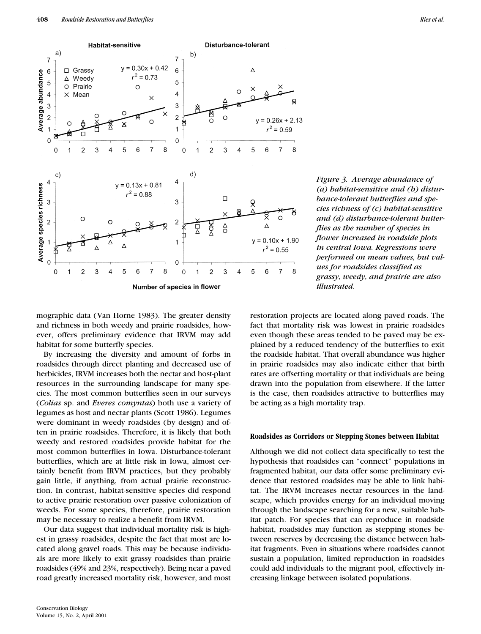

*Figure 3. Average abundance of (a) habitat-sensitive and (b) disturbance-tolerant butterflies and species richness of (c) habitat-sensitive and (d) disturbance-tolerant butterflies as the number of species in flower increased in roadside plots in central Iowa. Regressions were performed on mean values, but values for roadsides classified as grassy, weedy, and prairie are also* 

mographic data (Van Horne 1983). The greater density and richness in both weedy and prairie roadsides, however, offers preliminary evidence that IRVM may add habitat for some butterfly species.

By increasing the diversity and amount of forbs in roadsides through direct planting and decreased use of herbicides, IRVM increases both the nectar and host-plant resources in the surrounding landscape for many species. The most common butterflies seen in our surveys (*Colias* sp. and *Everes comyntas*) both use a variety of legumes as host and nectar plants (Scott 1986). Legumes were dominant in weedy roadsides (by design) and often in prairie roadsides. Therefore, it is likely that both weedy and restored roadsides provide habitat for the most common butterflies in Iowa. Disturbance-tolerant butterflies, which are at little risk in Iowa, almost certainly benefit from IRVM practices, but they probably gain little, if anything, from actual prairie reconstruction. In contrast, habitat-sensitive species did respond to active prairie restoration over passive colonization of weeds. For some species, therefore, prairie restoration may be necessary to realize a benefit from IRVM.

Our data suggest that individual mortality risk is highest in grassy roadsides, despite the fact that most are located along gravel roads. This may be because individuals are more likely to exit grassy roadsides than prairie roadsides (49% and 23%, respectively). Being near a paved road greatly increased mortality risk, however, and most

Conservation Biology Volume 15, No. 2, April 2001 restoration projects are located along paved roads. The fact that mortality risk was lowest in prairie roadsides even though these areas tended to be paved may be explained by a reduced tendency of the butterflies to exit the roadside habitat. That overall abundance was higher in prairie roadsides may also indicate either that birth rates are offsetting mortality or that individuals are being drawn into the population from elsewhere. If the latter is the case, then roadsides attractive to butterflies may be acting as a high mortality trap.

*illustrated.*

#### **Roadsides as Corridors or Stepping Stones between Habitat**

Although we did not collect data specifically to test the hypothesis that roadsides can "connect" populations in fragmented habitat, our data offer some preliminary evidence that restored roadsides may be able to link habitat. The IRVM increases nectar resources in the landscape, which provides energy for an individual moving through the landscape searching for a new, suitable habitat patch. For species that can reproduce in roadside habitat, roadsides may function as stepping stones between reserves by decreasing the distance between habitat fragments. Even in situations where roadsides cannot sustain a population, limited reproduction in roadsides could add individuals to the migrant pool, effectively increasing linkage between isolated populations.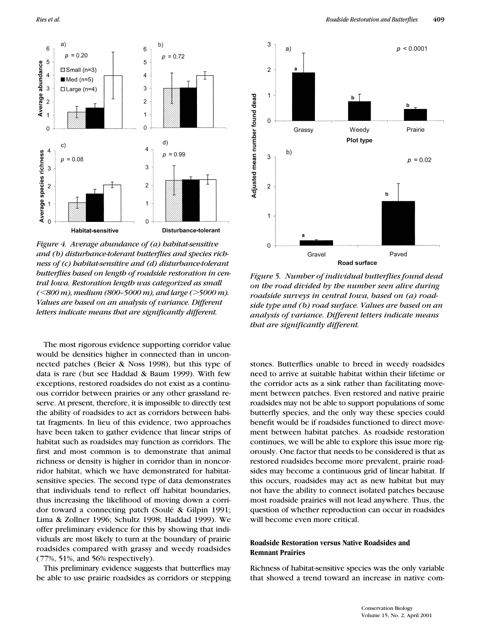

*Figure 4. Average abundance of (a) habitat-sensitive and (b) disturbance-tolerant butterflies and species richness of (c) habitat-sensitive and (d) disturbance-tolerant butterflies based on length of roadside restoration in central Iowa. Restoration length was categorized as small (*,*800 m), medium (800–5000 m), and large (*.*5000 m). Values are based on an analysis of variance. Different letters indicate means that are significantly different.*

The most rigorous evidence supporting corridor value would be densities higher in connected than in unconnected patches (Beier & Noss 1998), but this type of data is rare (but see Haddad & Baum 1999). With few exceptions, restored roadsides do not exist as a continuous corridor between prairies or any other grassland reserve. At present, therefore, it is impossible to directly test the ability of roadsides to act as corridors between habitat fragments. In lieu of this evidence, two approaches have been taken to gather evidence that linear strips of habitat such as roadsides may function as corridors. The first and most common is to demonstrate that animal richness or density is higher in corridor than in noncorridor habitat, which we have demonstrated for habitatsensitive species. The second type of data demonstrates that individuals tend to reflect off habitat boundaries, thus increasing the likelihood of moving down a corridor toward a connecting patch (Soulé & Gilpin 1991; Lima & Zollner 1996; Schultz 1998; Haddad 1999). We offer preliminary evidence for this by showing that individuals are most likely to turn at the boundary of prairie roadsides compared with grassy and weedy roadsides (77%, 51%, and 56% respectively).

This preliminary evidence suggests that butterflies may be able to use prairie roadsides as corridors or stepping



*Figure 5. Number of individual butterflies found dead on the road divided by the number seen alive during roadside surveys in central Iowa, based on (a) roadside type and (b) road surface. Values are based on an analysis of variance. Different letters indicate means that are significantly different.*

stones. Butterflies unable to breed in weedy roadsides need to arrive at suitable habitat within their lifetime or the corridor acts as a sink rather than facilitating movement between patches. Even restored and native prairie roadsides may not be able to support populations of some butterfly species, and the only way these species could benefit would be if roadsides functioned to direct movement between habitat patches. As roadside restoration continues, we will be able to explore this issue more rigorously. One factor that needs to be considered is that as restored roadsides become more prevalent, prairie roadsides may become a continuous grid of linear habitat. If this occurs, roadsides may act as new habitat but may not have the ability to connect isolated patches because most roadside prairies will not lead anywhere. Thus, the question of whether reproduction can occur in roadsides will become even more critical.

# **Roadside Restoration versus Native Roadsides and Remnant Prairies**

Richness of habitat-sensitive species was the only variable that showed a trend toward an increase in native com-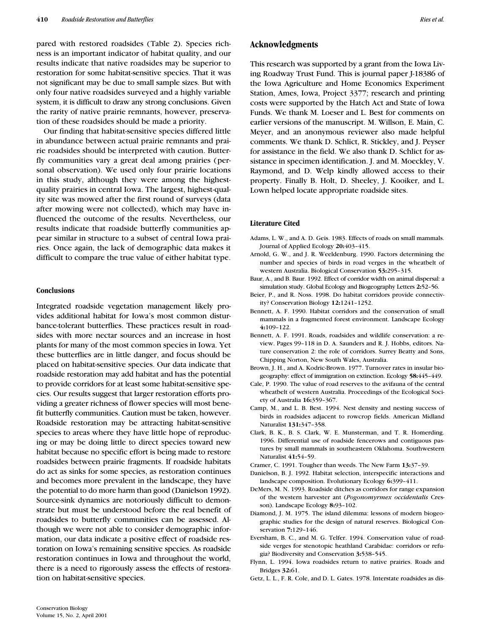pared with restored roadsides (Table 2). Species richness is an important indicator of habitat quality, and our results indicate that native roadsides may be superior to restoration for some habitat-sensitive species. That it was not significant may be due to small sample sizes. But with only four native roadsides surveyed and a highly variable system, it is difficult to draw any strong conclusions. Given the rarity of native prairie remnants, however, preservation of these roadsides should be made a priority.

Our finding that habitat-sensitive species differed little in abundance between actual prairie remnants and prairie roadsides should be interpreted with caution. Butterfly communities vary a great deal among prairies (personal observation). We used only four prairie locations in this study, although they were among the highestquality prairies in central Iowa. The largest, highest-quality site was mowed after the first round of surveys (data after mowing were not collected), which may have influenced the outcome of the results. Nevertheless, our results indicate that roadside butterfly communities appear similar in structure to a subset of central Iowa prairies. Once again, the lack of demographic data makes it difficult to compare the true value of either habitat type.

#### **Conclusions**

Integrated roadside vegetation management likely provides additional habitat for Iowa's most common disturbance-tolerant butterflies. These practices result in roadsides with more nectar sources and an increase in host plants for many of the most common species in Iowa. Yet these butterflies are in little danger, and focus should be placed on habitat-sensitive species. Our data indicate that roadside restoration may add habitat and has the potential to provide corridors for at least some habitat-sensitive species. Our results suggest that larger restoration efforts providing a greater richness of flower species will most benefit butterfly communities. Caution must be taken, however. Roadside restoration may be attracting habitat-sensitive species to areas where they have little hope of reproducing or may be doing little to direct species toward new habitat because no specific effort is being made to restore roadsides between prairie fragments. If roadside habitats do act as sinks for some species, as restoration continues and becomes more prevalent in the landscape, they have the potential to do more harm than good (Danielson 1992). Source-sink dynamics are notoriously difficult to demonstrate but must be understood before the real benefit of roadsides to butterfly communities can be assessed. Although we were not able to consider demographic information, our data indicate a positive effect of roadside restoration on Iowa's remaining sensitive species. As roadside restoration continues in Iowa and throughout the world, there is a need to rigorously assess the effects of restoration on habitat-sensitive species.

# **Acknowledgments**

This research was supported by a grant from the Iowa Living Roadway Trust Fund. This is journal paper J-18386 of the Iowa Agriculture and Home Economics Experiment Station, Ames, Iowa, Project 3377; research and printing costs were supported by the Hatch Act and State of Iowa Funds. We thank M. Loeser and L. Best for comments on earlier versions of the manuscript. M. Willson, E. Main, C. Meyer, and an anonymous reviewer also made helpful comments. We thank D. Schlict, R. Stickley, and J. Peyser for assistance in the field. We also thank D. Schlict for assistance in specimen identification. J. and M. Moeckley, V. Raymond, and D. Welp kindly allowed access to their property. Finally B. Holt, D. Sheeley, J. Kooiker, and L. Lown helped locate appropriate roadside sites.

## **Literature Cited**

- Adams, L. W., and A. D. Geis. 1983. Effects of roads on small mammals. Journal of Applied Ecology **20:**403–415.
- Arnold, G. W., and J. R. Weeldenburg. 1990. Factors determining the number and species of birds in road verges in the wheatbelt of western Australia. Biological Conservation **53:**295–315.
- Baur, A., and B. Baur. 1992. Effect of corridor width on animal dispersal: a simulation study. Global Ecology and Biogeography Letters **2:**52–56.
- Beier, P., and R. Noss. 1998. Do habitat corridors provide connectivity? Conservation Biology **12:**1241–1252.
- Bennett, A. F. 1990. Habitat corridors and the conservation of small mammals in a fragmented forest environment. Landscape Ecology **4:**109–122.
- Bennett, A. F. 1991. Roads, roadsides and wildlife conservation: a review. Pages 99–118 in D. A. Saunders and R. J. Hobbs, editors. Nature conservation 2: the role of corridors. Surrey Beatty and Sons, Chipping Norton, New South Wales, Australia.
- Brown, J. H., and A. Kodric-Brown. 1977. Turnover rates in insular biogeography: effect of immigration on extinction. Ecology **58:**445–449.
- Cale, P. 1990. The value of road reserves to the avifauna of the central wheatbelt of western Australia. Proceedings of the Ecological Society of Australia **16:**359–367.
- Camp, M., and L. B. Best. 1994. Nest density and nesting success of birds in roadsides adjacent to rowcrop fields. American Midland Naturalist **131:**347–358.
- Clark, B. K., B. S. Clark, W. E. Munsterman, and T. R. Homerding. 1996. Differential use of roadside fencerows and contiguous pastures by small mammals in southeastern Oklahoma. Southwestern Naturalist **41:**54–59.
- Cramer, C. 1991. Tougher than weeds. The New Farm **13:**37–39.
- Danielson, B. J. 1992. Habitat selection, interspecific interactions and landscape composition. Evolutionary Ecology **6:**399–411.
- DeMers, M. N. 1993. Roadside ditches as corridors for range expansion of the western harvester ant (*Pogonomyrmex occidentalis* Cresson). Landscape Ecology **8:**93–102.
- Diamond, J. M. 1975. The island dilemma: lessons of modern biogeographic studies for the design of natural reserves. Biological Conservation **7:**129–146.
- Eversham, B. C., and M. G. Telfer. 1994. Conservation value of roadside verges for stenotopic heathland Carabidae: corridors or refugia? Biodiversity and Conservation **3:**538–545.
- Flynn, L. 1994. Iowa roadsides return to native prairies. Roads and Bridges **32:**61.
- Getz, L. L., F. R. Cole, and D. L. Gates. 1978. Interstate roadsides as dis-